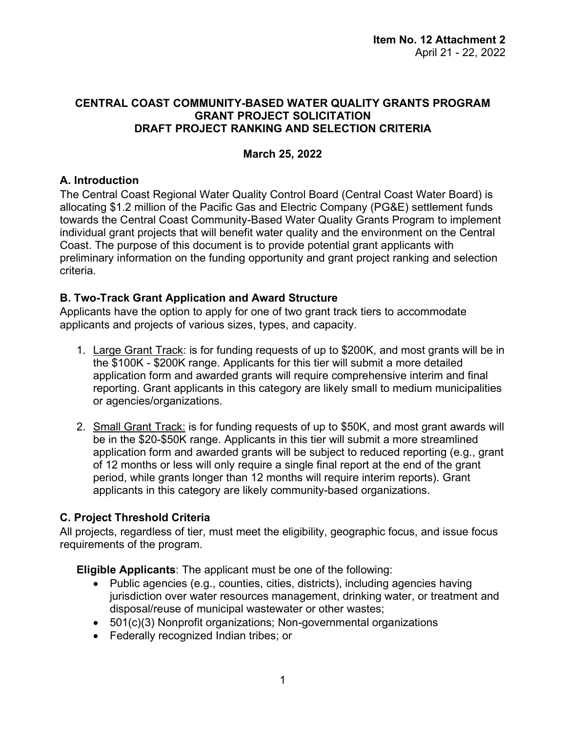#### **CENTRAL COAST COMMUNITY-BASED WATER QUALITY GRANTS PROGRAM GRANT PROJECT SOLICITATION DRAFT PROJECT RANKING AND SELECTION CRITERIA**

#### **March 25, 2022**

#### **A. Introduction**

The Central Coast Regional Water Quality Control Board (Central Coast Water Board) is allocating \$1.2 million of the Pacific Gas and Electric Company (PG&E) settlement funds towards the Central Coast Community-Based Water Quality Grants Program to implement individual grant projects that will benefit water quality and the environment on the Central Coast. The purpose of this document is to provide potential grant applicants with preliminary information on the funding opportunity and grant project ranking and selection criteria.

#### **B. Two-Track Grant Application and Award Structure**

Applicants have the option to apply for one of two grant track tiers to accommodate applicants and projects of various sizes, types, and capacity.

- 1. Large Grant Track: is for funding requests of up to \$200K, and most grants will be in the \$100K - \$200K range. Applicants for this tier will submit a more detailed application form and awarded grants will require comprehensive interim and final reporting. Grant applicants in this category are likely small to medium municipalities or agencies/organizations.
- 2. Small Grant Track: is for funding requests of up to \$50K, and most grant awards will be in the \$20-\$50K range. Applicants in this tier will submit a more streamlined application form and awarded grants will be subject to reduced reporting (e.g., grant of 12 months or less will only require a single final report at the end of the grant period, while grants longer than 12 months will require interim reports). Grant applicants in this category are likely community-based organizations.

## **C. Project Threshold Criteria**

All projects, regardless of tier, must meet the eligibility, geographic focus, and issue focus requirements of the program.

**Eligible Applicants**: The applicant must be one of the following:

- · Public agencies (e.g., counties, cities, districts), including agencies having jurisdiction over water resources management, drinking water, or treatment and disposal/reuse of municipal wastewater or other wastes;
- · 501(c)(3) Nonprofit organizations; Non-governmental organizations
- · Federally recognized Indian tribes; or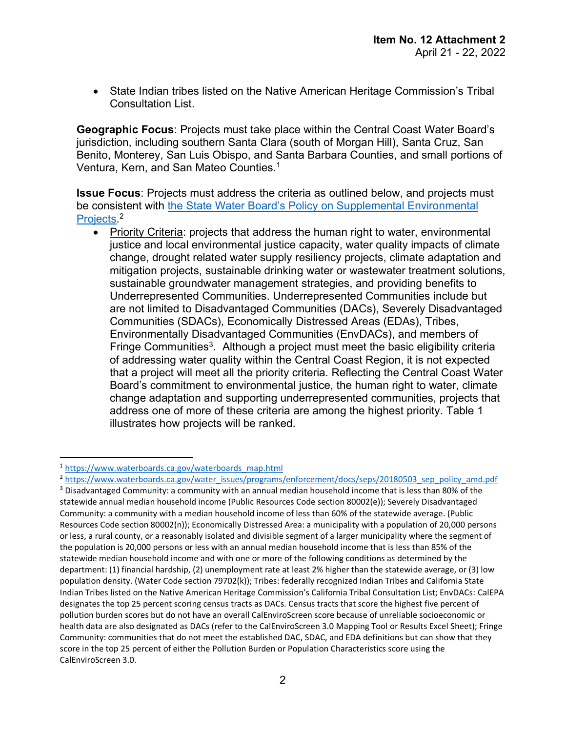· State Indian tribes listed on the Native American Heritage Commission's Tribal Consultation List.

**Geographic Focus**: Projects must take place within the Central Coast Water Board's jurisdiction, including southern Santa Clara (south of Morgan Hill), Santa Cruz, San Benito, Monterey, San Luis Obispo, and Santa Barbara Counties, and small portions of Ventura, Kern, and San Mateo Counties. [1](#page-1-0)

**Issue Focus**: Projects must address the criteria as outlined below, and projects must be consistent with [the State Water Board's Policy on Supplemental Environmental](https://www.waterboards.ca.gov/water_issues/programs/enforcement/docs/seps/20180503_sep_policy_amd.pdf)  [Projects](https://www.waterboards.ca.gov/water_issues/programs/enforcement/docs/seps/20180503_sep_policy_amd.pdf)<sup>[2](#page-1-1)</sup>

· Priority Criteria: projects that address the human right to water, environmental justice and local environmental justice capacity, water quality impacts of climate change, drought related water supply resiliency projects, climate adaptation and mitigation projects, sustainable drinking water or wastewater treatment solutions, sustainable groundwater management strategies, and providing benefits to Underrepresented Communities. Underrepresented Communities include but are not limited to Disadvantaged Communities (DACs), Severely Disadvantaged Communities (SDACs), Economically Distressed Areas (EDAs), Tribes, Environmentally Disadvantaged Communities (EnvDACs), and members of Fringe Communities<sup>[3](#page-1-2)</sup>. Although a project must meet the basic eligibility criteria of addressing water quality within the Central Coast Region, it is not expected that a project will meet all the priority criteria. Reflecting the Central Coast Water Board's commitment to environmental justice, the human right to water, climate change adaptation and supporting underrepresented communities, projects that address one of more of these criteria are among the highest priority. Table 1 illustrates how projects will be ranked.

<span id="page-1-0"></span><sup>1</sup> [https://www.waterboards.ca.gov/waterboards\\_map.html](https://www.waterboards.ca.gov/waterboards_map.html)

<span id="page-1-1"></span><sup>&</sup>lt;sup>2</sup> [https://www.waterboards.ca.gov/water\\_issues/programs/enforcement/docs/seps/20180503\\_sep\\_policy\\_amd.pdf](https://www.waterboards.ca.gov/water_issues/programs/enforcement/docs/seps/20180503_sep_policy_amd.pdf)

<span id="page-1-2"></span><sup>&</sup>lt;sup>3</sup> Disadvantaged Community: a community with an annual median household income that is less than 80% of the statewide annual median household income (Public Resources Code section 80002(e)); Severely Disadvantaged Community: a community with a median household income of less than 60% of the statewide average. (Public Resources Code section 80002(n)); Economically Distressed Area: a municipality with a population of 20,000 persons or less, a rural county, or a reasonably isolated and divisible segment of a larger municipality where the segment of the population is 20,000 persons or less with an annual median household income that is less than 85% of the statewide median household income and with one or more of the following conditions as determined by the department: (1) financial hardship, (2) unemployment rate at least 2% higher than the statewide average, or (3) low population density. (Water Code section 79702(k)); Tribes: federally recognized Indian Tribes and California State Indian Tribes listed on the Native American Heritage Commission's California Tribal Consultation List; EnvDACs: CalEPA designates the top 25 percent scoring census tracts as DACs. Census tracts that score the highest five percent of pollution burden scores but do not have an overall CalEnviroScreen score because of unreliable socioeconomic or health data are also designated as DACs (refer to the CalEnviroScreen 3.0 Mapping Tool or Results Excel Sheet); Fringe Community: communities that do not meet the established DAC, SDAC, and EDA definitions but can show that they score in the top 25 percent of either the Pollution Burden or Population Characteristics score using the CalEnviroScreen 3.0.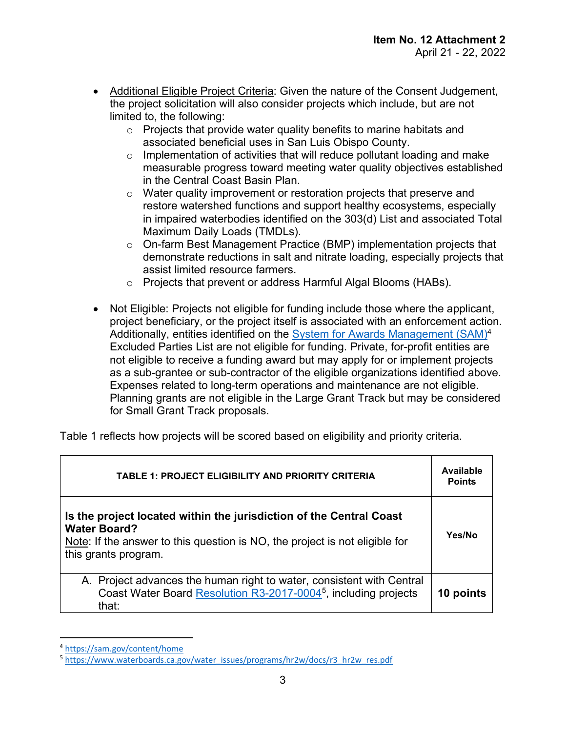- · Additional Eligible Project Criteria: Given the nature of the Consent Judgement, the project solicitation will also consider projects which include, but are not limited to, the following:
	- o Projects that provide water quality benefits to marine habitats and associated beneficial uses in San Luis Obispo County.
	- $\circ$  Implementation of activities that will reduce pollutant loading and make measurable progress toward meeting water quality objectives established in the Central Coast Basin Plan.
	- o Water quality improvement or restoration projects that preserve and restore watershed functions and support healthy ecosystems, especially in impaired waterbodies identified on the 303(d) List and associated Total Maximum Daily Loads (TMDLs).
	- o On-farm Best Management Practice (BMP) implementation projects that demonstrate reductions in salt and nitrate loading, especially projects that assist limited resource farmers.
	- o Projects that prevent or address Harmful Algal Blooms (HABs).
- · Not Eligible: Projects not eligible for funding include those where the applicant, project beneficiary, or the project itself is associated with an enforcement action. Additionally, entities identified on the [System for Awards Management \(SAM\)](https://sam.gov/content/home)<sup>[4](#page-2-0)</sup> Excluded Parties List are not eligible for funding. Private, for-profit entities are not eligible to receive a funding award but may apply for or implement projects as a sub-grantee or sub-contractor of the eligible organizations identified above. Expenses related to long-term operations and maintenance are not eligible. Planning grants are not eligible in the Large Grant Track but may be considered for Small Grant Track proposals.

Table 1 reflects how projects will be scored based on eligibility and priority criteria.

| <b>TABLE 1: PROJECT ELIGIBILITY AND PRIORITY CRITERIA</b>                                                                                                                                         | <b>Available</b><br><b>Points</b> |
|---------------------------------------------------------------------------------------------------------------------------------------------------------------------------------------------------|-----------------------------------|
| Is the project located within the jurisdiction of the Central Coast<br><b>Water Board?</b><br>Note: If the answer to this question is NO, the project is not eligible for<br>this grants program. | Yes/No                            |
| A. Project advances the human right to water, consistent with Central<br>Coast Water Board Resolution R3-2017-0004 <sup>5</sup> , including projects<br>that:                                     | 10 points                         |

<span id="page-2-0"></span><sup>4</sup> <https://sam.gov/content/home>

<span id="page-2-1"></span><sup>5</sup> [https://www.waterboards.ca.gov/water\\_issues/programs/hr2w/docs/r3\\_hr2w\\_res.pdf](https://www.waterboards.ca.gov/water_issues/programs/hr2w/docs/r3_hr2w_res.pdf)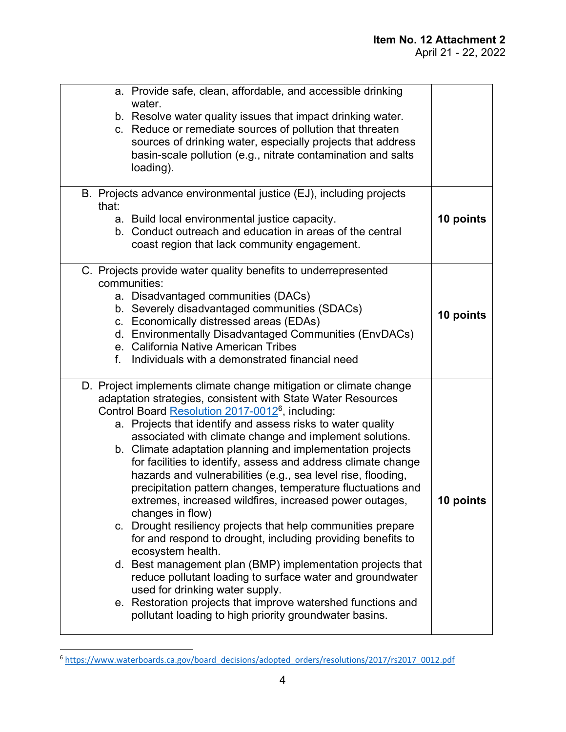| a. Provide safe, clean, affordable, and accessible drinking<br>water.<br>b. Resolve water quality issues that impact drinking water.<br>c. Reduce or remediate sources of pollution that threaten<br>sources of drinking water, especially projects that address<br>basin-scale pollution (e.g., nitrate contamination and salts<br>loading).                                                                                                                                                                                                                                                                                                                                                                                                                                                                                                                                                                                                                                                                                                                                                                        |           |
|----------------------------------------------------------------------------------------------------------------------------------------------------------------------------------------------------------------------------------------------------------------------------------------------------------------------------------------------------------------------------------------------------------------------------------------------------------------------------------------------------------------------------------------------------------------------------------------------------------------------------------------------------------------------------------------------------------------------------------------------------------------------------------------------------------------------------------------------------------------------------------------------------------------------------------------------------------------------------------------------------------------------------------------------------------------------------------------------------------------------|-----------|
| B. Projects advance environmental justice (EJ), including projects<br>that:<br>a. Build local environmental justice capacity.<br>b. Conduct outreach and education in areas of the central<br>coast region that lack community engagement.                                                                                                                                                                                                                                                                                                                                                                                                                                                                                                                                                                                                                                                                                                                                                                                                                                                                           | 10 points |
| C. Projects provide water quality benefits to underrepresented<br>communities:<br>a. Disadvantaged communities (DACs)<br>b. Severely disadvantaged communities (SDACs)<br>c. Economically distressed areas (EDAs)<br>d. Environmentally Disadvantaged Communities (EnvDACs)<br>e. California Native American Tribes<br>Individuals with a demonstrated financial need<br>f.                                                                                                                                                                                                                                                                                                                                                                                                                                                                                                                                                                                                                                                                                                                                          | 10 points |
| D. Project implements climate change mitigation or climate change<br>adaptation strategies, consistent with State Water Resources<br>Control Board Resolution 2017-0012 <sup>6</sup> , including:<br>a. Projects that identify and assess risks to water quality<br>associated with climate change and implement solutions.<br>b. Climate adaptation planning and implementation projects<br>for facilities to identify, assess and address climate change<br>hazards and vulnerabilities (e.g., sea level rise, flooding,<br>precipitation pattern changes, temperature fluctuations and<br>extremes, increased wildfires, increased power outages,<br>changes in flow)<br>c. Drought resiliency projects that help communities prepare<br>for and respond to drought, including providing benefits to<br>ecosystem health.<br>d. Best management plan (BMP) implementation projects that<br>reduce pollutant loading to surface water and groundwater<br>used for drinking water supply.<br>e. Restoration projects that improve watershed functions and<br>pollutant loading to high priority groundwater basins. | 10 points |

<span id="page-3-0"></span><sup>6</sup> [https://www.waterboards.ca.gov/board\\_decisions/adopted\\_orders/resolutions/2017/rs2017\\_0012.pdf](https://www.waterboards.ca.gov/board_decisions/adopted_orders/resolutions/2017/rs2017_0012.pdf)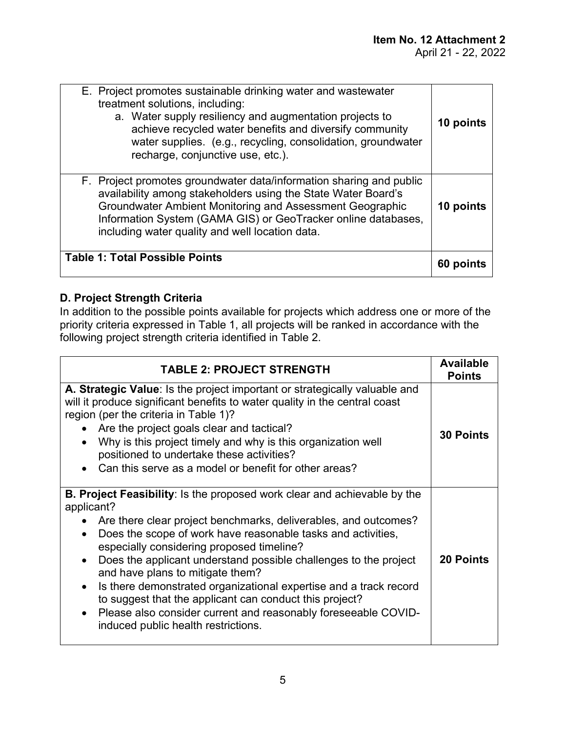| <b>Table 1: Total Possible Points</b>                                                                                                                                                                                                                                                                                       | 60 points |
|-----------------------------------------------------------------------------------------------------------------------------------------------------------------------------------------------------------------------------------------------------------------------------------------------------------------------------|-----------|
| F. Project promotes groundwater data/information sharing and public<br>availability among stakeholders using the State Water Board's<br>Groundwater Ambient Monitoring and Assessment Geographic<br>Information System (GAMA GIS) or GeoTracker online databases,<br>including water quality and well location data.        | 10 points |
| E. Project promotes sustainable drinking water and wastewater<br>treatment solutions, including:<br>a. Water supply resiliency and augmentation projects to<br>achieve recycled water benefits and diversify community<br>water supplies. (e.g., recycling, consolidation, groundwater<br>recharge, conjunctive use, etc.). | 10 points |

# **D. Project Strength Criteria**

In addition to the possible points available for projects which address one or more of the priority criteria expressed in Table 1, all projects will be ranked in accordance with the following project strength criteria identified in Table 2.

| <b>TABLE 2: PROJECT STRENGTH</b>                                                                                                                                                                                                                                                                                                                                                                                                                                                                                                                                                                                               | <b>Available</b><br><b>Points</b> |
|--------------------------------------------------------------------------------------------------------------------------------------------------------------------------------------------------------------------------------------------------------------------------------------------------------------------------------------------------------------------------------------------------------------------------------------------------------------------------------------------------------------------------------------------------------------------------------------------------------------------------------|-----------------------------------|
| A. Strategic Value: Is the project important or strategically valuable and<br>will it produce significant benefits to water quality in the central coast<br>region (per the criteria in Table 1)?<br>Are the project goals clear and tactical?<br>Why is this project timely and why is this organization well<br>positioned to undertake these activities?<br>Can this serve as a model or benefit for other areas?                                                                                                                                                                                                           | <b>30 Points</b>                  |
| <b>B. Project Feasibility:</b> Is the proposed work clear and achievable by the<br>applicant?<br>Are there clear project benchmarks, deliverables, and outcomes?<br>Does the scope of work have reasonable tasks and activities,<br>especially considering proposed timeline?<br>Does the applicant understand possible challenges to the project<br>and have plans to mitigate them?<br>Is there demonstrated organizational expertise and a track record<br>to suggest that the applicant can conduct this project?<br>Please also consider current and reasonably foreseeable COVID-<br>induced public health restrictions. | <b>20 Points</b>                  |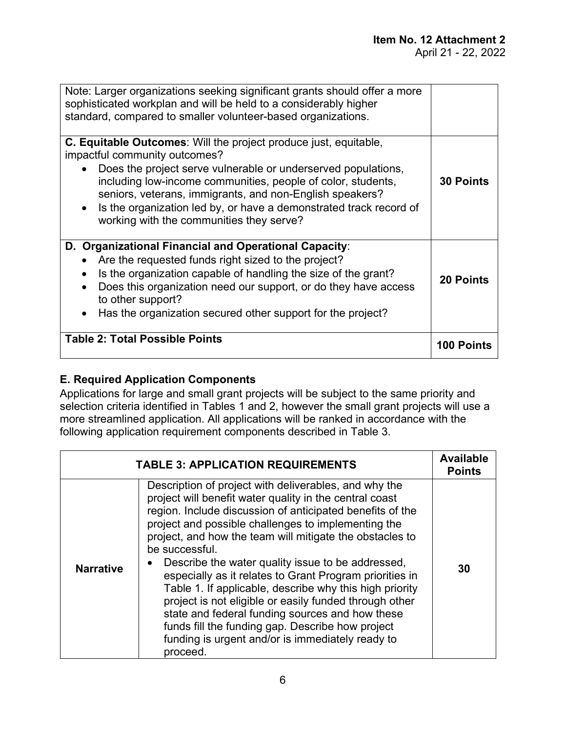| Note: Larger organizations seeking significant grants should offer a more<br>sophisticated workplan and will be held to a considerably higher<br>standard, compared to smaller volunteer-based organizations.                                                                                                                                                                                                           |                   |
|-------------------------------------------------------------------------------------------------------------------------------------------------------------------------------------------------------------------------------------------------------------------------------------------------------------------------------------------------------------------------------------------------------------------------|-------------------|
| <b>C. Equitable Outcomes:</b> Will the project produce just, equitable,<br>impactful community outcomes?<br>Does the project serve vulnerable or underserved populations,<br>including low-income communities, people of color, students,<br>seniors, veterans, immigrants, and non-English speakers?<br>Is the organization led by, or have a demonstrated track record of<br>working with the communities they serve? | <b>30 Points</b>  |
| D. Organizational Financial and Operational Capacity:<br>Are the requested funds right sized to the project?<br>Is the organization capable of handling the size of the grant?<br>Does this organization need our support, or do they have access<br>to other support?<br>Has the organization secured other support for the project?                                                                                   | <b>20 Points</b>  |
| <b>Table 2: Total Possible Points</b>                                                                                                                                                                                                                                                                                                                                                                                   | <b>100 Points</b> |

## **E. Required Application Components**

Applications for large and small grant projects will be subject to the same priority and selection criteria identified in Tables 1 and 2, however the small grant projects will use a more streamlined application. All applications will be ranked in accordance with the following application requirement components described in Table 3.

|                  | <b>TABLE 3: APPLICATION REQUIREMENTS</b>                                                                                                                                                                                                                                                                                                                                                                                                                                                                                                                                                                                                                                                                                       | <b>Available</b><br><b>Points</b> |
|------------------|--------------------------------------------------------------------------------------------------------------------------------------------------------------------------------------------------------------------------------------------------------------------------------------------------------------------------------------------------------------------------------------------------------------------------------------------------------------------------------------------------------------------------------------------------------------------------------------------------------------------------------------------------------------------------------------------------------------------------------|-----------------------------------|
| <b>Narrative</b> | Description of project with deliverables, and why the<br>project will benefit water quality in the central coast<br>region. Include discussion of anticipated benefits of the<br>project and possible challenges to implementing the<br>project, and how the team will mitigate the obstacles to<br>be successful.<br>Describe the water quality issue to be addressed,<br>especially as it relates to Grant Program priorities in<br>Table 1. If applicable, describe why this high priority<br>project is not eligible or easily funded through other<br>state and federal funding sources and how these<br>funds fill the funding gap. Describe how project<br>funding is urgent and/or is immediately ready to<br>proceed. | 30                                |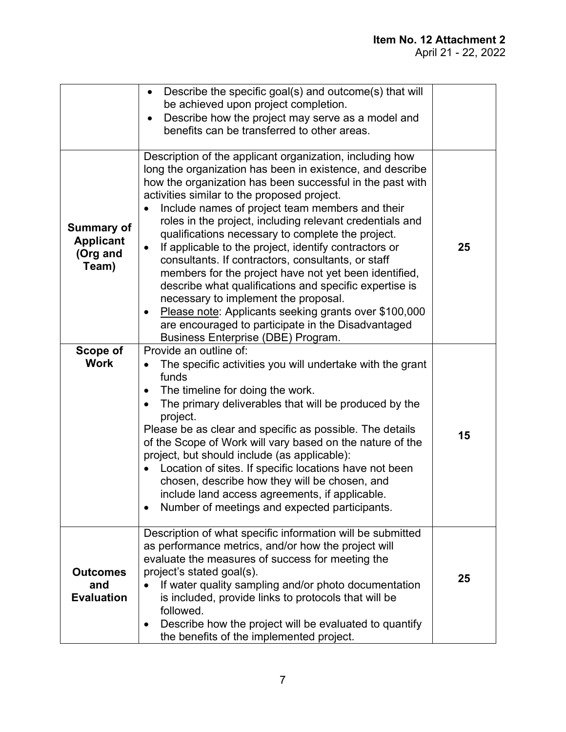|                                                            | Describe the specific goal(s) and outcome(s) that will<br>$\bullet$<br>be achieved upon project completion.<br>Describe how the project may serve as a model and<br>benefits can be transferred to other areas.                                                                                                                                                                                                                                                                                                                                                                                                                                                                                                                                                                                                                                   |    |
|------------------------------------------------------------|---------------------------------------------------------------------------------------------------------------------------------------------------------------------------------------------------------------------------------------------------------------------------------------------------------------------------------------------------------------------------------------------------------------------------------------------------------------------------------------------------------------------------------------------------------------------------------------------------------------------------------------------------------------------------------------------------------------------------------------------------------------------------------------------------------------------------------------------------|----|
| <b>Summary of</b><br><b>Applicant</b><br>(Org and<br>Team) | Description of the applicant organization, including how<br>long the organization has been in existence, and describe<br>how the organization has been successful in the past with<br>activities similar to the proposed project.<br>Include names of project team members and their<br>roles in the project, including relevant credentials and<br>qualifications necessary to complete the project.<br>If applicable to the project, identify contractors or<br>$\bullet$<br>consultants. If contractors, consultants, or staff<br>members for the project have not yet been identified,<br>describe what qualifications and specific expertise is<br>necessary to implement the proposal.<br>Please note: Applicants seeking grants over \$100,000<br>are encouraged to participate in the Disadvantaged<br>Business Enterprise (DBE) Program. | 25 |
| Scope of<br><b>Work</b>                                    | Provide an outline of:<br>The specific activities you will undertake with the grant<br>funds<br>The timeline for doing the work.<br>The primary deliverables that will be produced by the<br>project.<br>Please be as clear and specific as possible. The details<br>of the Scope of Work will vary based on the nature of the<br>project, but should include (as applicable):<br>Location of sites. If specific locations have not been<br>chosen, describe how they will be chosen, and<br>include land access agreements, if applicable.<br>Number of meetings and expected participants.                                                                                                                                                                                                                                                      | 15 |
| <b>Outcomes</b><br>and<br><b>Evaluation</b>                | Description of what specific information will be submitted<br>as performance metrics, and/or how the project will<br>evaluate the measures of success for meeting the<br>project's stated goal(s).<br>If water quality sampling and/or photo documentation<br>is included, provide links to protocols that will be<br>followed.<br>Describe how the project will be evaluated to quantify<br>$\bullet$<br>the benefits of the implemented project.                                                                                                                                                                                                                                                                                                                                                                                                | 25 |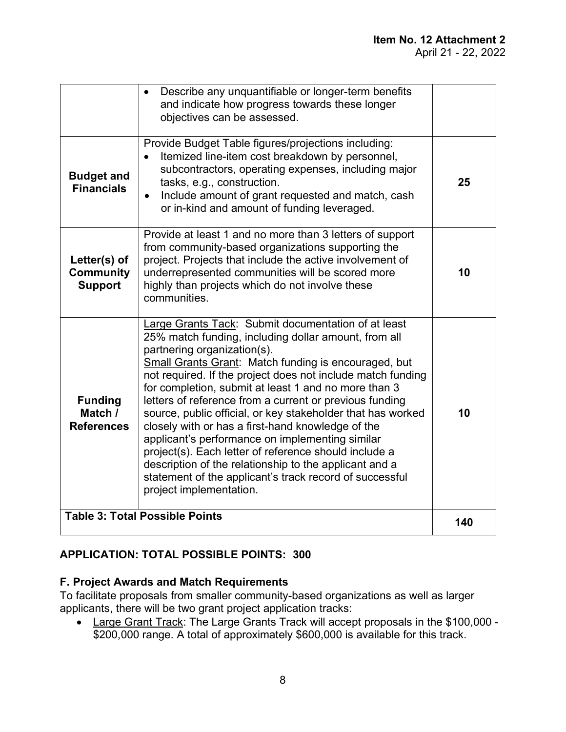|                                                    | Describe any unquantifiable or longer-term benefits<br>and indicate how progress towards these longer<br>objectives can be assessed.                                                                                                                                                                                                                                                                                                                                                                                                                                                                                                                                                                                                                                        |     |
|----------------------------------------------------|-----------------------------------------------------------------------------------------------------------------------------------------------------------------------------------------------------------------------------------------------------------------------------------------------------------------------------------------------------------------------------------------------------------------------------------------------------------------------------------------------------------------------------------------------------------------------------------------------------------------------------------------------------------------------------------------------------------------------------------------------------------------------------|-----|
| <b>Budget and</b><br><b>Financials</b>             | Provide Budget Table figures/projections including:<br>Itemized line-item cost breakdown by personnel,<br>$\bullet$<br>subcontractors, operating expenses, including major<br>tasks, e.g., construction.<br>Include amount of grant requested and match, cash<br>$\bullet$<br>or in-kind and amount of funding leveraged.                                                                                                                                                                                                                                                                                                                                                                                                                                                   | 25  |
| Letter(s) of<br><b>Community</b><br><b>Support</b> | Provide at least 1 and no more than 3 letters of support<br>from community-based organizations supporting the<br>project. Projects that include the active involvement of<br>underrepresented communities will be scored more<br>highly than projects which do not involve these<br>communities.                                                                                                                                                                                                                                                                                                                                                                                                                                                                            | 10  |
| <b>Funding</b><br>Match /<br><b>References</b>     | Large Grants Tack: Submit documentation of at least<br>25% match funding, including dollar amount, from all<br>partnering organization(s).<br><b>Small Grants Grant: Match funding is encouraged, but</b><br>not required. If the project does not include match funding<br>for completion, submit at least 1 and no more than 3<br>letters of reference from a current or previous funding<br>source, public official, or key stakeholder that has worked<br>closely with or has a first-hand knowledge of the<br>applicant's performance on implementing similar<br>project(s). Each letter of reference should include a<br>description of the relationship to the applicant and a<br>statement of the applicant's track record of successful<br>project implementation. | 10  |
|                                                    | <b>Table 3: Total Possible Points</b>                                                                                                                                                                                                                                                                                                                                                                                                                                                                                                                                                                                                                                                                                                                                       | 140 |

# **APPLICATION: TOTAL POSSIBLE POINTS: 300**

## **F. Project Awards and Match Requirements**

To facilitate proposals from smaller community-based organizations as well as larger applicants, there will be two grant project application tracks:

· Large Grant Track: The Large Grants Track will accept proposals in the \$100,000 - \$200,000 range. A total of approximately \$600,000 is available for this track.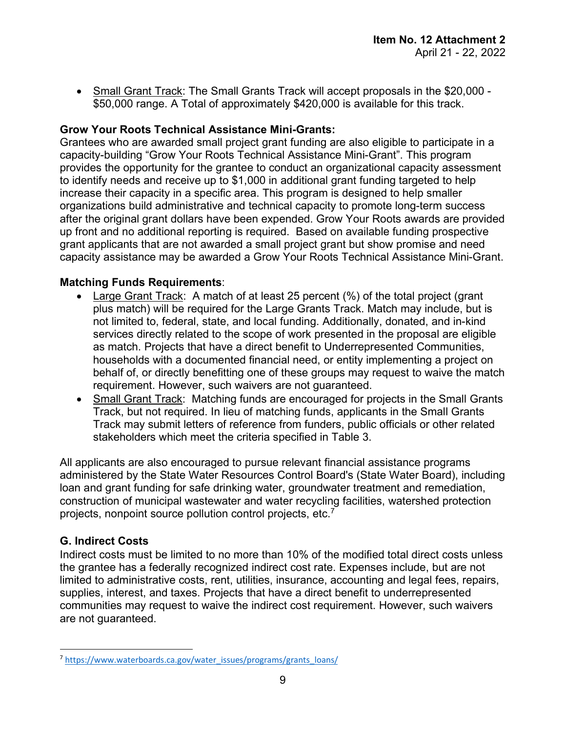• Small Grant Track: The Small Grants Track will accept proposals in the \$20,000 -\$50,000 range. A Total of approximately \$420,000 is available for this track.

## **Grow Your Roots Technical Assistance Mini-Grants:**

Grantees who are awarded small project grant funding are also eligible to participate in a capacity-building "Grow Your Roots Technical Assistance Mini-Grant". This program provides the opportunity for the grantee to conduct an organizational capacity assessment to identify needs and receive up to \$1,000 in additional grant funding targeted to help increase their capacity in a specific area. This program is designed to help smaller organizations build administrative and technical capacity to promote long-term success after the original grant dollars have been expended. Grow Your Roots awards are provided up front and no additional reporting is required. Based on available funding prospective grant applicants that are not awarded a small project grant but show promise and need capacity assistance may be awarded a Grow Your Roots Technical Assistance Mini-Grant.

## **Matching Funds Requirements**:

- · Large Grant Track: A match of at least 25 percent (%) of the total project (grant plus match) will be required for the Large Grants Track. Match may include, but is not limited to, federal, state, and local funding. Additionally, donated, and in-kind services directly related to the scope of work presented in the proposal are eligible as match. Projects that have a direct benefit to Underrepresented Communities, households with a documented financial need, or entity implementing a project on behalf of, or directly benefitting one of these groups may request to waive the match requirement. However, such waivers are not guaranteed.
- Small Grant Track: Matching funds are encouraged for projects in the Small Grants Track, but not required. In lieu of matching funds, applicants in the Small Grants Track may submit letters of reference from funders, public officials or other related stakeholders which meet the criteria specified in Table 3.

All applicants are also encouraged to pursue relevant financial assistance programs administered by the State Water Resources Control Board's (State Water Board), including loan and grant funding for safe drinking water, groundwater treatment and remediation, construction of municipal wastewater and water recycling facilities, watershed protection projects, nonpoint source pollution control projects, etc.[7](#page-8-0)

## **G. Indirect Costs**

Indirect costs must be limited to no more than 10% of the modified total direct costs unless the grantee has a federally recognized indirect cost rate. Expenses include, but are not limited to administrative costs, rent, utilities, insurance, accounting and legal fees, repairs, supplies, interest, and taxes. Projects that have a direct benefit to underrepresented communities may request to waive the indirect cost requirement. However, such waivers are not guaranteed.

<span id="page-8-0"></span><sup>&</sup>lt;sup>7</sup> [https://www.waterboards.ca.gov/water\\_issues/programs/grants\\_loans/](https://www.waterboards.ca.gov/water_issues/programs/grants_loans/)